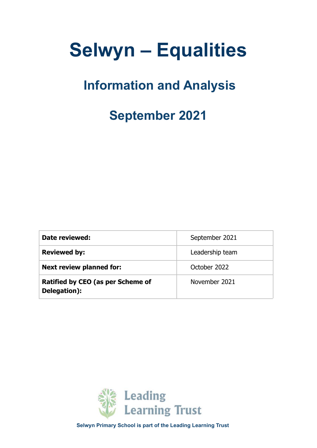# **Selwyn – Equalities**

# **Information and Analysis**

# **September 2021**

| Date reviewed:                                    | September 2021  |
|---------------------------------------------------|-----------------|
| <b>Reviewed by:</b>                               | Leadership team |
| <b>Next review planned for:</b>                   | October 2022    |
| Ratified by CEO (as per Scheme of<br>Delegation): | November 2021   |



**Selwyn Primary School is part of the Leading Learning Trust**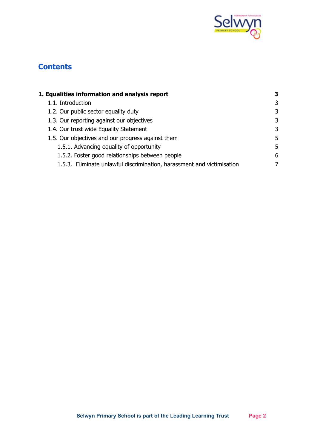

## **Contents**

| 1. Equalities information and analysis report                          | 3 |
|------------------------------------------------------------------------|---|
| 1.1. Introduction                                                      | 3 |
| 1.2. Our public sector equality duty                                   | 3 |
| 1.3. Our reporting against our objectives                              | 3 |
| 1.4. Our trust wide Equality Statement                                 | 3 |
| 1.5. Our objectives and our progress against them                      | 5 |
| 1.5.1. Advancing equality of opportunity                               | 5 |
| 1.5.2. Foster good relationships between people                        | 6 |
| 1.5.3. Eliminate unlawful discrimination, harassment and victimisation |   |
|                                                                        |   |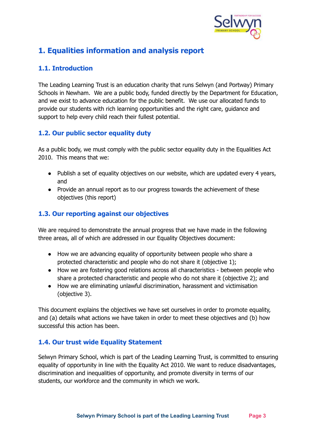

## <span id="page-2-0"></span>**1. Equalities information and analysis report**

#### <span id="page-2-1"></span>**1.1. Introduction**

The Leading Learning Trust is an education charity that runs Selwyn (and Portway) Primary Schools in Newham. We are a public body, funded directly by the Department for Education, and we exist to advance education for the public benefit. We use our allocated funds to provide our students with rich learning opportunities and the right care, guidance and support to help every child reach their fullest potential.

#### <span id="page-2-2"></span>**1.2. Our public sector equality duty**

As a public body, we must comply with the public sector equality duty in the Equalities Act 2010. This means that we:

- Publish a set of equality objectives on our website, which are updated every 4 years, and
- Provide an annual report as to our progress towards the achievement of these objectives (this report)

#### <span id="page-2-3"></span>**1.3. Our reporting against our objectives**

We are required to demonstrate the annual progress that we have made in the following three areas, all of which are addressed in our Equality Objectives document:

- How we are advancing equality of opportunity between people who share a protected characteristic and people who do not share it (objective 1);
- How we are fostering good relations across all characteristics between people who share a protected characteristic and people who do not share it (objective 2); and
- How we are eliminating unlawful discrimination, harassment and victimisation (objective 3).

This document explains the objectives we have set ourselves in order to promote equality, and (a) details what actions we have taken in order to meet these objectives and (b) how successful this action has been.

#### <span id="page-2-4"></span>**1.4. Our trust wide Equality Statement**

Selwyn Primary School, which is part of the Leading Learning Trust, is committed to ensuring equality of opportunity in line with the Equality Act 2010. We want to reduce disadvantages, discrimination and inequalities of opportunity, and promote diversity in terms of our students, our workforce and the community in which we work.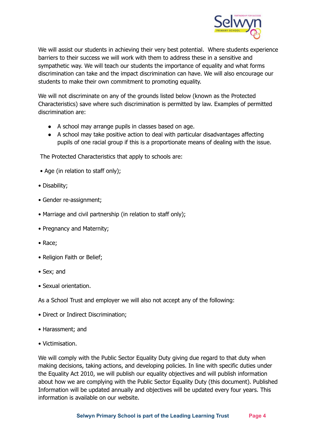

We will assist our students in achieving their very best potential. Where students experience barriers to their success we will work with them to address these in a sensitive and sympathetic way. We will teach our students the importance of equality and what forms discrimination can take and the impact discrimination can have. We will also encourage our students to make their own commitment to promoting equality.

We will not discriminate on any of the grounds listed below (known as the Protected Characteristics) save where such discrimination is permitted by law. Examples of permitted discrimination are:

- A school may arrange pupils in classes based on age.
- A school may take positive action to deal with particular disadvantages affecting pupils of one racial group if this is a proportionate means of dealing with the issue.

The Protected Characteristics that apply to schools are:

- Age (in relation to staff only);
- Disability;
- Gender re-assignment;
- Marriage and civil partnership (in relation to staff only);
- Pregnancy and Maternity;
- Race;
- Religion Faith or Belief;
- Sex; and
- Sexual orientation.

As a School Trust and employer we will also not accept any of the following:

- Direct or Indirect Discrimination;
- Harassment; and
- Victimisation.

We will comply with the Public Sector Equality Duty giving due regard to that duty when making decisions, taking actions, and developing policies. In line with specific duties under the Equality Act 2010, we will publish our equality objectives and will publish information about how we are complying with the Public Sector Equality Duty (this document). Published Information will be updated annually and objectives will be updated every four years. This information is available on our website.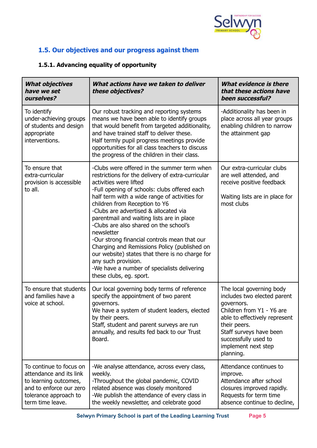

### <span id="page-4-0"></span>**1.5. Our objectives and our progress against them**

#### <span id="page-4-1"></span>**1.5.1. Advancing equality of opportunity**

| <b>What objectives</b><br>have we set<br>ourselves?                                                                                                 | What actions have we taken to deliver<br>these objectives?                                                                                                                                                                                                                                                                                                                                                                                                                                                                                                                                                                                                     | <b>What evidence is there</b><br>that these actions have<br>been successful?                                                                                                                                                               |
|-----------------------------------------------------------------------------------------------------------------------------------------------------|----------------------------------------------------------------------------------------------------------------------------------------------------------------------------------------------------------------------------------------------------------------------------------------------------------------------------------------------------------------------------------------------------------------------------------------------------------------------------------------------------------------------------------------------------------------------------------------------------------------------------------------------------------------|--------------------------------------------------------------------------------------------------------------------------------------------------------------------------------------------------------------------------------------------|
| To identify<br>under-achieving groups<br>of students and design<br>appropriate<br>interventions.                                                    | Our robust tracking and reporting systems<br>means we have been able to identify groups<br>that would benefit from targeted additionality,<br>and have trained staff to deliver these.<br>Half termly pupil progress meetings provide<br>opportunities for all class teachers to discuss<br>the progress of the children in their class.                                                                                                                                                                                                                                                                                                                       | -Additionality has been in<br>place across all year groups<br>enabling children to narrow<br>the attainment gap                                                                                                                            |
| To ensure that<br>extra-curricular<br>provision is accessible<br>to all.                                                                            | -Clubs were offered in the summer term when<br>restrictions for the delivery of extra-curricular<br>activities were lifted<br>-Full opening of schools: clubs offered each<br>half term with a wide range of activities for<br>children from Reception to Y6<br>-Clubs are advertised & allocated via<br>parentmail and waiting lists are in place<br>-Clubs are also shared on the school's<br>newsletter<br>-Our strong financial controls mean that our<br>Charging and Remissions Policy (published on<br>our website) states that there is no charge for<br>any such provision.<br>-We have a number of specialists delivering<br>these clubs, eg. sport. | Our extra-curricular clubs<br>are well attended, and<br>receive positive feedback<br>Waiting lists are in place for<br>most clubs                                                                                                          |
| To ensure that students<br>and families have a<br>voice at school.                                                                                  | Our local governing body terms of reference<br>specify the appointment of two parent<br>governors.<br>We have a system of student leaders, elected<br>by their peers.<br>Staff, student and parent surveys are run<br>annually, and results fed back to our Trust<br>Board.                                                                                                                                                                                                                                                                                                                                                                                    | The local governing body<br>includes two elected parent<br>governors.<br>Children from Y1 - Y6 are<br>able to effectively represent<br>their peers.<br>Staff surveys have been<br>successfully used to<br>implement next step<br>planning. |
| To continue to focus on<br>attendance and its link<br>to learning outcomes,<br>and to enforce our zero<br>tolerance approach to<br>term time leave. | -We analyse attendance, across every class,<br>weekly.<br>-Throughout the global pandemic, COVID<br>related absence was closely monitored<br>-We publish the attendance of every class in<br>the weekly newsletter, and celebrate good                                                                                                                                                                                                                                                                                                                                                                                                                         | Attendance continues to<br>improve.<br>Attendance after school<br>closures improved rapidly.<br>Requests for term time<br>absence continue to decline,                                                                                     |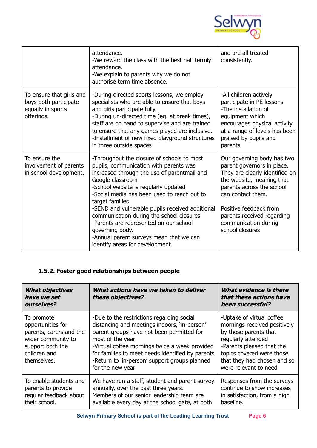

|                                                                                      | attendance.<br>-We reward the class with the best half termly<br>attendance.<br>-We explain to parents why we do not<br>authorise term time absence.                                                                                                                                                                                                                                                                                                                                                        | and are all treated<br>consistently.                                                                                                                                                                                                                                         |
|--------------------------------------------------------------------------------------|-------------------------------------------------------------------------------------------------------------------------------------------------------------------------------------------------------------------------------------------------------------------------------------------------------------------------------------------------------------------------------------------------------------------------------------------------------------------------------------------------------------|------------------------------------------------------------------------------------------------------------------------------------------------------------------------------------------------------------------------------------------------------------------------------|
| To ensure that girls and<br>boys both participate<br>equally in sports<br>offerings. | -During directed sports lessons, we employ<br>specialists who are able to ensure that boys<br>and girls participate fully.<br>-During un-directed time (eg. at break times),<br>staff are on hand to supervise and are trained<br>to ensure that any games played are inclusive.<br>-Installment of new fixed playground structures<br>in three outside spaces                                                                                                                                              | -All children actively<br>participate in PE lessons<br>-The installation of<br>equipment which<br>encourages physical activity<br>at a range of levels has been<br>praised by pupils and<br>parents                                                                          |
| To ensure the<br>involvement of parents<br>in school development.                    | -Throughout the closure of schools to most<br>pupils, communication with parents was<br>increased through the use of parentmail and<br>Google classroom<br>-School website is regularly updated<br>-Social media has been used to reach out to<br>target families<br>-SEND and vulnerable pupils received additional<br>communication during the school closures<br>-Parents are represented on our school<br>governing body.<br>-Annual parent surveys mean that we can<br>identify areas for development. | Our governing body has two<br>parent governors in place.<br>They are clearly identified on<br>the website, meaning that<br>parents across the school<br>can contact them.<br>Positive feedback from<br>parents received regarding<br>communication during<br>school closures |

#### <span id="page-5-0"></span>**1.5.2. Foster good relationships between people**

| <b>What objectives</b><br>have we set<br>ourselves?                                                                                 | What actions have we taken to deliver<br>these objectives?                                                                                                                                                                                                                                                                            | What evidence is there<br>that these actions have<br>been successful?                                                                                                                                                      |
|-------------------------------------------------------------------------------------------------------------------------------------|---------------------------------------------------------------------------------------------------------------------------------------------------------------------------------------------------------------------------------------------------------------------------------------------------------------------------------------|----------------------------------------------------------------------------------------------------------------------------------------------------------------------------------------------------------------------------|
| To promote<br>opportunities for<br>parents, carers and the<br>wider community to<br>support both the<br>children and<br>themselves. | -Due to the restrictions regarding social<br>distancing and meetings indoors, 'in-person'<br>parent groups have not been permitted for<br>most of the year<br>-Virtual coffee mornings twice a week provided<br>for families to meet needs identified by parents<br>-Return to 'in-person' support groups planned<br>for the new year | -Uptake of virtual coffee<br>mornings received positively<br>by those parents that<br>regularly attended<br>-Parents pleased that the<br>topics covered were those<br>that they had chosen and so<br>were relevant to need |
| To enable students and<br>parents to provide<br>regular feedback about<br>their school.                                             | We have run a staff, student and parent survey<br>annually, over the past three years.<br>Members of our senior leadership team are<br>available every day at the school gate, at both                                                                                                                                                | Responses from the surveys<br>continue to show increases<br>in satisfaction, from a high<br>baseline.                                                                                                                      |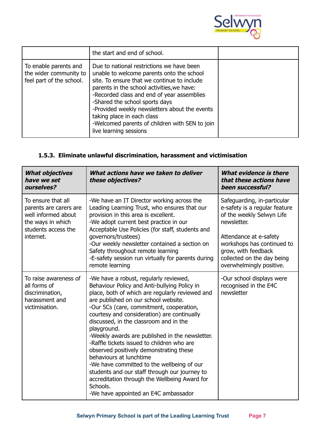

|                                                                             | the start and end of school.                                                                                                                                                                                                                                                                                                                                                                                                   |  |
|-----------------------------------------------------------------------------|--------------------------------------------------------------------------------------------------------------------------------------------------------------------------------------------------------------------------------------------------------------------------------------------------------------------------------------------------------------------------------------------------------------------------------|--|
| To enable parents and<br>the wider community to<br>feel part of the school. | Due to national restrictions we have been<br>unable to welcome parents onto the school<br>site. To ensure that we continue to include<br>parents in the school activities, we have:<br>-Recorded class and end of year assemblies<br>-Shared the school sports days<br>-Provided weekly newsletters about the events<br>taking place in each class<br>-Welcomed parents of children with SEN to join<br>live learning sessions |  |

#### <span id="page-6-0"></span>**1.5.3. Eliminate unlawful discrimination, harassment and victimisation**

| <b>What objectives</b><br>have we set<br>ourselves?                                                                          | What actions have we taken to deliver<br>these objectives?                                                                                                                                                                                                                                                                                                                                                                                                                                                                                                                                                                                                                                                       | <b>What evidence is there</b><br>that these actions have<br>been successful?                                                                                                                                                                      |
|------------------------------------------------------------------------------------------------------------------------------|------------------------------------------------------------------------------------------------------------------------------------------------------------------------------------------------------------------------------------------------------------------------------------------------------------------------------------------------------------------------------------------------------------------------------------------------------------------------------------------------------------------------------------------------------------------------------------------------------------------------------------------------------------------------------------------------------------------|---------------------------------------------------------------------------------------------------------------------------------------------------------------------------------------------------------------------------------------------------|
| To ensure that all<br>parents are carers are<br>well informed about<br>the ways in which<br>students access the<br>internet. | -We have an IT Director working across the<br>Leading Learning Trust, who ensures that our<br>provision in this area is excellent.<br>-We adopt current best practice in our<br>Acceptable Use Policies (for staff, students and<br>governors/trustees)<br>-Our weekly newsletter contained a section on<br>Safety throughout remote learning<br>-E-safety session run virtually for parents during<br>remote learning                                                                                                                                                                                                                                                                                           | Safeguarding, in-particular<br>e-safety is a regular feature<br>of the weekly Selwyn Life<br>newsletter.<br>Attendance at e-safety<br>workshops has continued to<br>grow, with feedback<br>collected on the day being<br>overwhelmingly positive. |
| To raise awareness of<br>all forms of<br>discrimination,<br>harassment and<br>victimisation.                                 | -We have a robust, regularly reviewed,<br>Behaviour Policy and Anti-bullying Policy in<br>place, both of which are regularly reviewed and<br>are published on our school website.<br>-Our 5Cs (care, commitment, cooperation,<br>courtesy and consideration) are continually<br>discussed, in the classroom and in the<br>playground.<br>-Weekly awards are published in the newsletter.<br>-Raffle tickets issued to children who are<br>observed positively demonstrating these<br>behaviours at lunchtime<br>-We have committed to the wellbeing of our<br>students and our staff through our journey to<br>accreditation through the Wellbeing Award for<br>Schools.<br>-We have appointed an E4C ambassador | -Our school displays were<br>recognised in the E4C<br>newsletter                                                                                                                                                                                  |